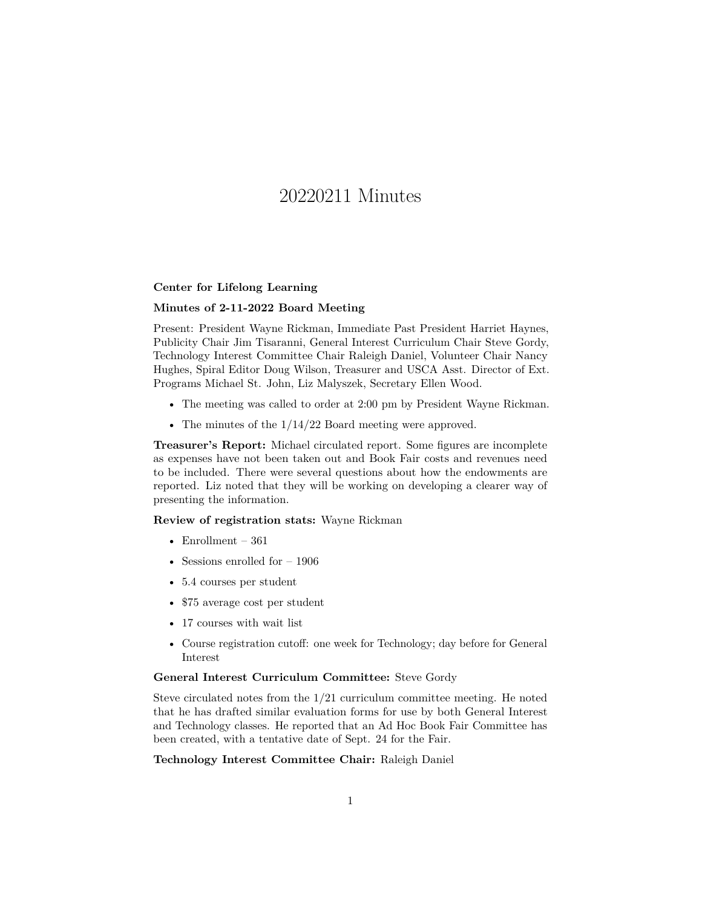# 20220211 Minutes

## **Center for Lifelong Learning**

## **Minutes of 2-11-2022 Board Meeting**

Present: President Wayne Rickman, Immediate Past President Harriet Haynes, Publicity Chair Jim Tisaranni, General Interest Curriculum Chair Steve Gordy, Technology Interest Committee Chair Raleigh Daniel, Volunteer Chair Nancy Hughes, Spiral Editor Doug Wilson, Treasurer and USCA Asst. Director of Ext. Programs Michael St. John, Liz Malyszek, Secretary Ellen Wood.

- The meeting was called to order at 2:00 pm by President Wayne Rickman.
- The minutes of the  $1/14/22$  Board meeting were approved.

**Treasurer's Report:** Michael circulated report. Some figures are incomplete as expenses have not been taken out and Book Fair costs and revenues need to be included. There were several questions about how the endowments are reported. Liz noted that they will be working on developing a clearer way of presenting the information.

**Review of registration stats:** Wayne Rickman

- Enrollment  $361$
- Sessions enrolled for  $-1906$
- 5.4 courses per student
- \$75 average cost per student
- 17 courses with wait list
- Course registration cutoff: one week for Technology; day before for General Interest

#### **General Interest Curriculum Committee:** Steve Gordy

Steve circulated notes from the 1/21 curriculum committee meeting. He noted that he has drafted similar evaluation forms for use by both General Interest and Technology classes. He reported that an Ad Hoc Book Fair Committee has been created, with a tentative date of Sept. 24 for the Fair.

## **Technology Interest Committee Chair:** Raleigh Daniel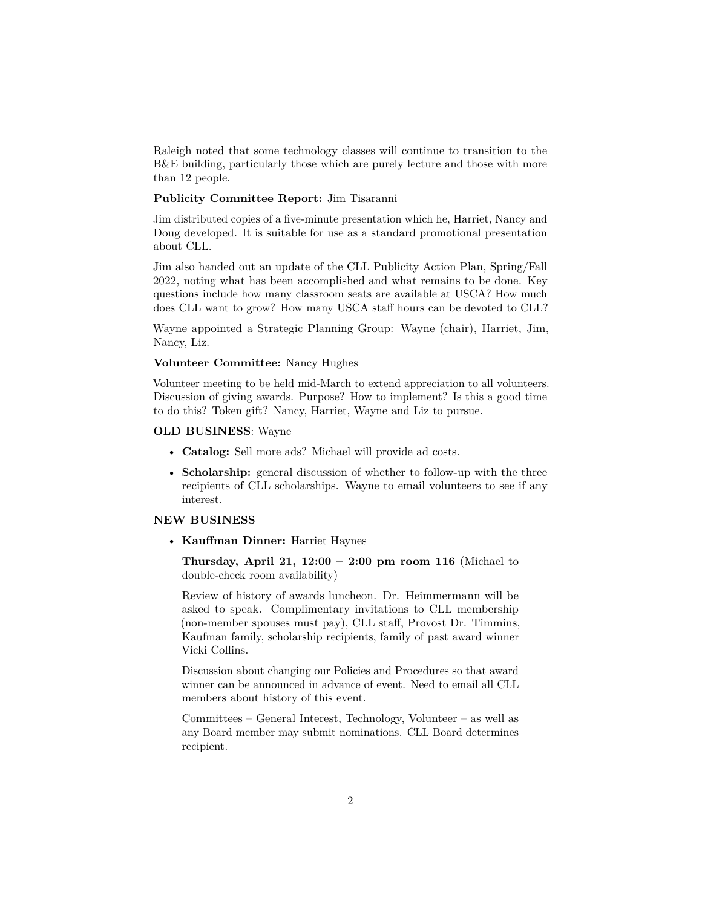Raleigh noted that some technology classes will continue to transition to the B&E building, particularly those which are purely lecture and those with more than 12 people.

## **Publicity Committee Report:** Jim Tisaranni

Jim distributed copies of a five-minute presentation which he, Harriet, Nancy and Doug developed. It is suitable for use as a standard promotional presentation about CLL.

Jim also handed out an update of the CLL Publicity Action Plan, Spring/Fall 2022, noting what has been accomplished and what remains to be done. Key questions include how many classroom seats are available at USCA? How much does CLL want to grow? How many USCA staff hours can be devoted to CLL?

Wayne appointed a Strategic Planning Group: Wayne (chair), Harriet, Jim, Nancy, Liz.

## **Volunteer Committee:** Nancy Hughes

Volunteer meeting to be held mid-March to extend appreciation to all volunteers. Discussion of giving awards. Purpose? How to implement? Is this a good time to do this? Token gift? Nancy, Harriet, Wayne and Liz to pursue.

#### **OLD BUSINESS**: Wayne

- **Catalog:** Sell more ads? Michael will provide ad costs.
- **Scholarship:** general discussion of whether to follow-up with the three recipients of CLL scholarships. Wayne to email volunteers to see if any interest.

## **NEW BUSINESS**

• **Kauffman Dinner:** Harriet Haynes

**Thursday, April 21, 12:00 – 2:00 pm room 116** (Michael to double-check room availability)

Review of history of awards luncheon. Dr. Heimmermann will be asked to speak. Complimentary invitations to CLL membership (non-member spouses must pay), CLL staff, Provost Dr. Timmins, Kaufman family, scholarship recipients, family of past award winner Vicki Collins.

Discussion about changing our Policies and Procedures so that award winner can be announced in advance of event. Need to email all CLL members about history of this event.

Committees – General Interest, Technology, Volunteer – as well as any Board member may submit nominations. CLL Board determines recipient.